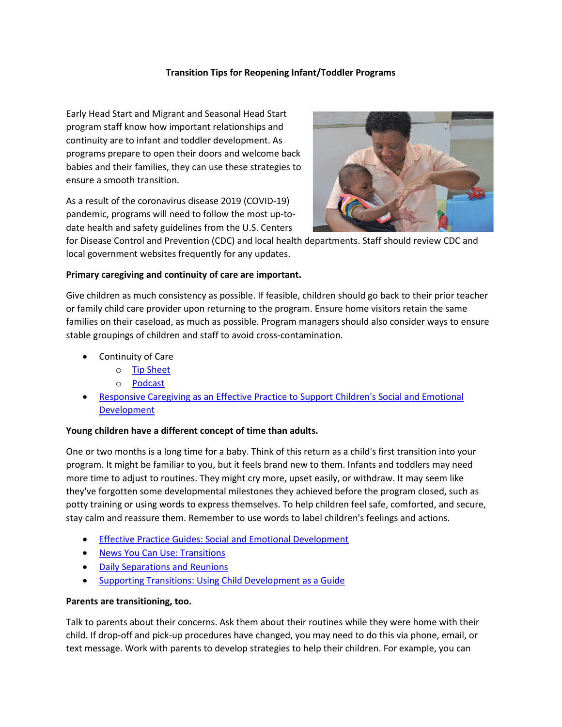### **Transition Tips for Reopening Infant/Toddler Programs**

Early Head Start and Migrant and Seasonal Head Start program staff know how important relationships and continuity are to infant and toddler development. As programs prepare to open their doors and welcome back babies and their families, they can use these strategies to ensure a smooth transition.

As a result of the coronavirus disease 2019 (COVID-19) pandemic, programs will need to follow the most up-todate health and safety guidelines from the U.S. Centers



for Disease Control and Prevention (CDC) and local health departments. Staff should review CDC and local government websites frequently for any updates.

## **Primary caregiving and continuity of care are important.**

Give children as much consistency as possible. If feasible, children should go back to their prior teacher or family child care provider upon returning to the program. Ensure home visitors retain the same families on their caseload, as much as possible. Program managers should also consider ways to ensure stable groupings of children and staff to avoid cross-contamination.

- Continuity of Care
	- o [Tip Sheet](https://eclkc.ohs.acf.hhs.gov/sites/default/files/pdf/continuity-of-care-tip-sheet.pdf)
	- o [Podcast](https://eclkc.ohs.acf.hhs.gov/podcast/continuity-care-podcast)
- [Responsive Caregiving as an Effective Practice to](https://eclkc.ohs.acf.hhs.gov/video/responsive-caregiving-effective-practice-support-childrens-social-emotional-development) Support Children's Social and Emotional [Development](https://eclkc.ohs.acf.hhs.gov/video/responsive-caregiving-effective-practice-support-childrens-social-emotional-development)

# **Young children have a different concept of time than adults.**

One or two months is a long time for a baby. Think of this return as a child's first transition into your program. It might be familiar to you, but it feels brand new to them. Infants and toddlers may need more time to adjust to routines. They might cry more, upset easily, or withdraw. It may seem like they've forgotten some developmental milestones they achieved before the program closed, such as potty training or using words to express themselves. To help children feel safe, comforted, and secure, stay calm and reassure them. Remember to use words to label children's feelings and actions.

- **Effective Practice Guides: Social and Emotional Development**
- [News You Can Use: Transitions](https://eclkc.ohs.acf.hhs.gov/transitions/article/news-you-can-use-transitions)
- **Daily Separations and Reunions**
- [Supporting Transitions: Using Child Development as a Guide](https://eclkc.ohs.acf.hhs.gov/publication/supporting-transitions-using-child-development-guide)

### **Parents are transitioning, too.**

Talk to parents about their concerns. Ask them about their routines while they were home with their child. If drop-off and pick-up procedures have changed, you may need to do this via phone, email, or text message. Work with parents to develop strategies to help their children. For example, you can